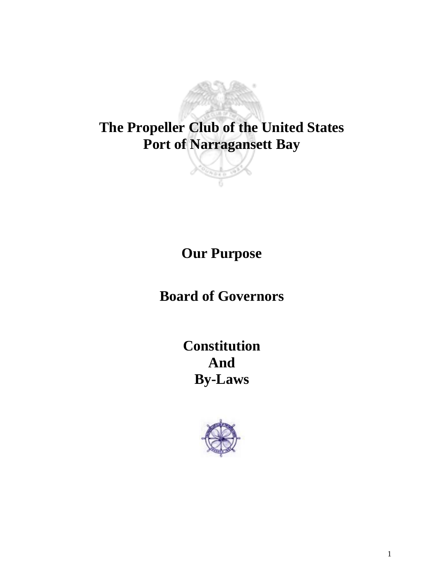

**Our Purpose**

**Board of Governors**

**Constitution And By-Laws**

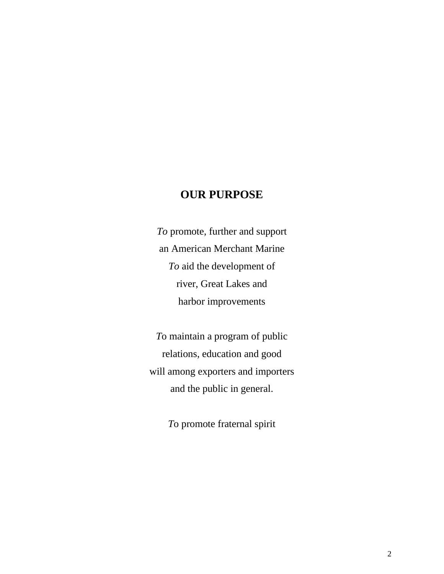# **OUR PURPOSE**

*To* promote, further and support an American Merchant Marine *To* aid the development of river, Great Lakes and harbor improvements

*T*o maintain a program of public relations, education and good will among exporters and importers and the public in general.

*T*o promote fraternal spirit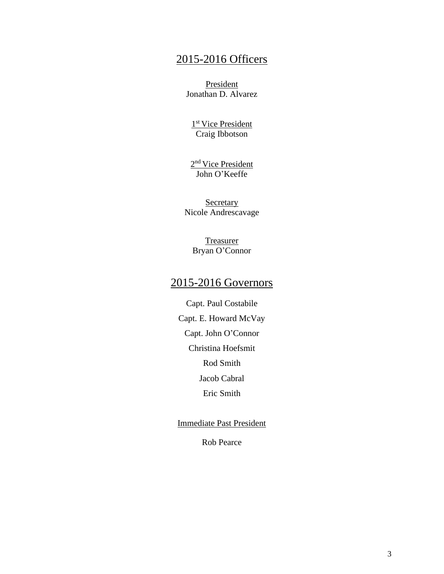# 2015-2016 Officers

President Jonathan D. Alvarez

1<sup>st</sup> Vice President Craig Ibbotson

2<sup>nd</sup> Vice President John O'Keeffe

**Secretary** Nicole Andrescavage

> **Treasurer** Bryan O'Connor

# 2015-2016 Governors

Capt. Paul Costabile Capt. E. Howard McVay Capt. John O'Connor Christina Hoefsmit Rod Smith Jacob Cabral Eric Smith

Immediate Past President

Rob Pearce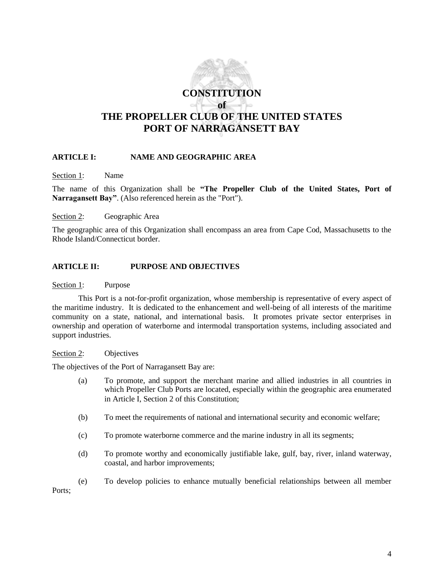

# **ARTICLE I: NAME AND GEOGRAPHIC AREA**

Section 1: Name

The name of this Organization shall be **"The Propeller Club of the United States, Port of Narragansett Bay"**. (Also referenced herein as the "Port").

Section 2: Geographic Area

The geographic area of this Organization shall encompass an area from Cape Cod, Massachusetts to the Rhode Island/Connecticut border.

#### **ARTICLE II: PURPOSE AND OBJECTIVES**

Section 1: Purpose

This Port is a not-for-profit organization, whose membership is representative of every aspect of the maritime industry. It is dedicated to the enhancement and well-being of all interests of the maritime community on a state, national, and international basis. It promotes private sector enterprises in ownership and operation of waterborne and intermodal transportation systems, including associated and support industries.

#### Section 2: Objectives

The objectives of the Port of Narragansett Bay are:

- (a) To promote, and support the merchant marine and allied industries in all countries in which Propeller Club Ports are located, especially within the geographic area enumerated in Article I, Section 2 of this Constitution;
- (b) To meet the requirements of national and international security and economic welfare;
- (c) To promote waterborne commerce and the marine industry in all its segments;
- (d) To promote worthy and economically justifiable lake, gulf, bay, river, inland waterway, coastal, and harbor improvements;
- (e) To develop policies to enhance mutually beneficial relationships between all member Ports: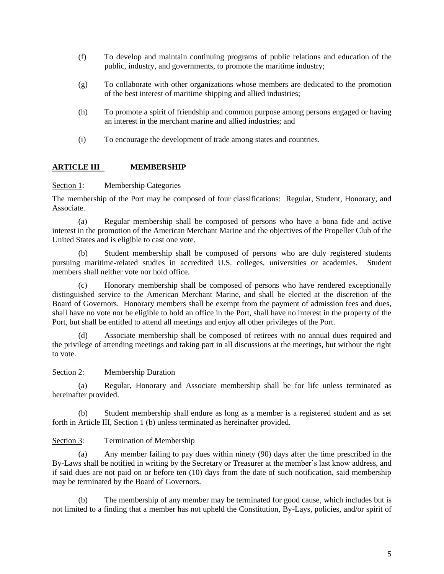- (f) To develop and maintain continuing programs of public relations and education of the public, industry, and governments, to promote the maritime industry;
- (g) To collaborate with other organizations whose members are dedicated to the promotion of the best interest of maritime shipping and allied industries;
- (h) To promote a spirit of friendship and common purpose among persons engaged or having an interest in the merchant marine and allied industries; and
- (i) To encourage the development of trade among states and countries.

# **ARTICLE III MEMBERSHIP**

Section 1: Membership Categories

The membership of the Port may be composed of four classifications: Regular, Student, Honorary, and Associate.

(a) Regular membership shall be composed of persons who have a bona fide and active interest in the promotion of the American Merchant Marine and the objectives of the Propeller Club of the United States and is eligible to cast one vote.

(b) Student membership shall be composed of persons who are duly registered students pursuing maritime-related studies in accredited U.S. colleges, universities or academies. Student members shall neither vote nor hold office.

(c) Honorary membership shall be composed of persons who have rendered exceptionally distinguished service to the American Merchant Marine, and shall be elected at the discretion of the Board of Governors. Honorary members shall be exempt from the payment of admission fees and dues, shall have no vote nor be eligible to hold an office in the Port, shall have no interest in the property of the Port, but shall be entitled to attend all meetings and enjoy all other privileges of the Port.

Associate membership shall be composed of retirees with no annual dues required and the privilege of attending meetings and taking part in all discussions at the meetings, but without the right to vote.

Section 2: Membership Duration

(a) Regular, Honorary and Associate membership shall be for life unless terminated as hereinafter provided.

(b) Student membership shall endure as long as a member is a registered student and as set forth in Article III, Section 1 (b) unless terminated as hereinafter provided.

## Section 3: Termination of Membership

(a) Any member failing to pay dues within ninety (90) days after the time prescribed in the By-Laws shall be notified in writing by the Secretary or Treasurer at the member's last know address, and if said dues are not paid on or before ten (10) days from the date of such notification, said membership may be terminated by the Board of Governors.

(b) The membership of any member may be terminated for good cause, which includes but is not limited to a finding that a member has not upheld the Constitution, By-Lays, policies, and/or spirit of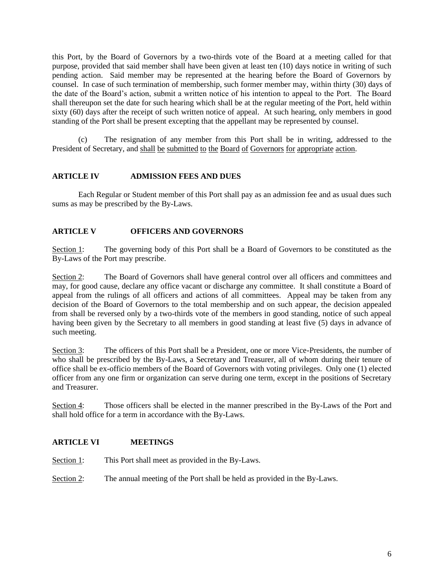this Port, by the Board of Governors by a two-thirds vote of the Board at a meeting called for that purpose, provided that said member shall have been given at least ten (10) days notice in writing of such pending action. Said member may be represented at the hearing before the Board of Governors by counsel. In case of such termination of membership, such former member may, within thirty (30) days of the date of the Board's action, submit a written notice of his intention to appeal to the Port. The Board shall thereupon set the date for such hearing which shall be at the regular meeting of the Port, held within sixty (60) days after the receipt of such written notice of appeal. At such hearing, only members in good standing of the Port shall be present excepting that the appellant may be represented by counsel.

(c) The resignation of any member from this Port shall be in writing, addressed to the President of Secretary, and shall be submitted to the Board of Governors for appropriate action.

# **ARTICLE IV ADMISSION FEES AND DUES**

Each Regular or Student member of this Port shall pay as an admission fee and as usual dues such sums as may be prescribed by the By-Laws.

# **ARTICLE V OFFICERS AND GOVERNORS**

Section 1: The governing body of this Port shall be a Board of Governors to be constituted as the By-Laws of the Port may prescribe.

Section 2: The Board of Governors shall have general control over all officers and committees and may, for good cause, declare any office vacant or discharge any committee. It shall constitute a Board of appeal from the rulings of all officers and actions of all committees. Appeal may be taken from any decision of the Board of Governors to the total membership and on such appear, the decision appealed from shall be reversed only by a two-thirds vote of the members in good standing, notice of such appeal having been given by the Secretary to all members in good standing at least five (5) days in advance of such meeting.

Section 3: The officers of this Port shall be a President, one or more Vice-Presidents, the number of who shall be prescribed by the By-Laws, a Secretary and Treasurer, all of whom during their tenure of office shall be ex-officio members of the Board of Governors with voting privileges. Only one (1) elected officer from any one firm or organization can serve during one term, except in the positions of Secretary and Treasurer.

Section 4: Those officers shall be elected in the manner prescribed in the By-Laws of the Port and shall hold office for a term in accordance with the By-Laws.

# **ARTICLE VI MEETINGS**

Section 1: This Port shall meet as provided in the By-Laws.

Section 2: The annual meeting of the Port shall be held as provided in the By-Laws.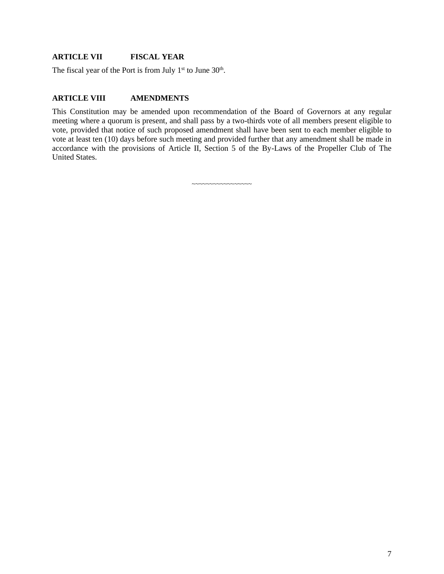## **ARTICLE VII FISCAL YEAR**

The fiscal year of the Port is from July  $1<sup>st</sup>$  to June  $30<sup>th</sup>$ .

# **ARTICLE VIII AMENDMENTS**

This Constitution may be amended upon recommendation of the Board of Governors at any regular meeting where a quorum is present, and shall pass by a two-thirds vote of all members present eligible to vote, provided that notice of such proposed amendment shall have been sent to each member eligible to vote at least ten (10) days before such meeting and provided further that any amendment shall be made in accordance with the provisions of Article II, Section 5 of the By-Laws of the Propeller Club of The United States.

~~~~~~~~~~~~~~~~~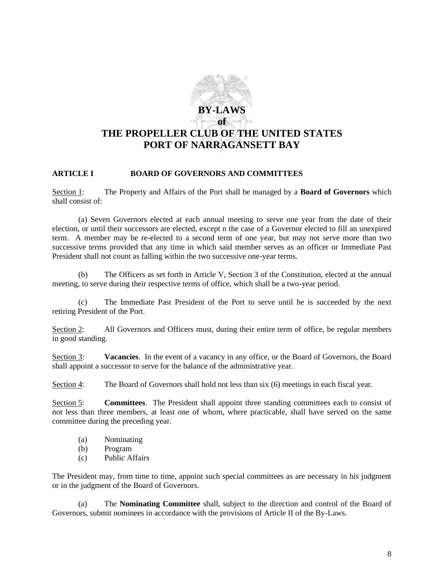# **BY-LAWS of THE PROPELLER CLUB OF THE UNITED STATES PORT OF NARRAGANSETT BAY**

# **ARTICLE I BOARD OF GOVERNORS AND COMMITTEES**

Section 1: The Property and Affairs of the Port shall be managed by a **Board of Governors** which shall consist of:

(a) Seven Governors elected at each annual meeting to serve one year from the date of their election, or until their successors are elected, except n the case of a Governor elected to fill an unexpired term. A member may be re-elected to a second term of one year, but may not serve more than two successive terms provided that any time in which said member serves as an officer or Immediate Past President shall not count as falling within the two successive one-year terms.

(b) The Officers as set forth in Article V, Section 3 of the Constitution, elected at the annual meeting, to serve during their respective terms of office, which shall be a two-year period.

(c) The Immediate Past President of the Port to serve until he is succeeded by the next retiring President of the Port.

Section 2: All Governors and Officers must, during their entire term of office, be regular members in good standing.

Section 3: **Vacancies**. In the event of a vacancy in any office, or the Board of Governors, the Board shall appoint a successor to serve for the balance of the administrative year.

Section 4: The Board of Governors shall hold not less than six (6) meetings in each fiscal year.

Section 5: **Committees**. The President shall appoint three standing committees each to consist of not less than three members, at least one of whom, where practicable, shall have served on the same committee during the preceding year.

- (a) Nominating
- (b) Program
- (c) Public Affairs

The President may, from time to time, appoint such special committees as are necessary in his judgment or in the judgment of the Board of Governors.

(a) The **Nominating Committee** shall, subject to the direction and control of the Board of Governors, submit nominees in accordance with the provisions of Article II of the By-Laws.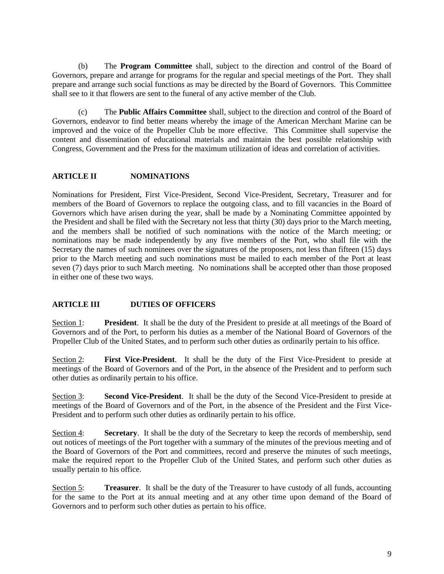(b) The **Program Committee** shall, subject to the direction and control of the Board of Governors, prepare and arrange for programs for the regular and special meetings of the Port. They shall prepare and arrange such social functions as may be directed by the Board of Governors. This Committee shall see to it that flowers are sent to the funeral of any active member of the Club.

(c) The **Public Affairs Committee** shall, subject to the direction and control of the Board of Governors, endeavor to find better means whereby the image of the American Merchant Marine can be improved and the voice of the Propeller Club be more effective. This Committee shall supervise the content and dissemination of educational materials and maintain the best possible relationship with Congress, Government and the Press for the maximum utilization of ideas and correlation of activities.

## **ARTICLE II NOMINATIONS**

Nominations for President, First Vice-President, Second Vice-President, Secretary, Treasurer and for members of the Board of Governors to replace the outgoing class, and to fill vacancies in the Board of Governors which have arisen during the year, shall be made by a Nominating Committee appointed by the President and shall be filed with the Secretary not less that thirty (30) days prior to the March meeting, and the members shall be notified of such nominations with the notice of the March meeting; or nominations may be made independently by any five members of the Port, who shall file with the Secretary the names of such nominees over the signatures of the proposers, not less than fifteen (15) days prior to the March meeting and such nominations must be mailed to each member of the Port at least seven (7) days prior to such March meeting. No nominations shall be accepted other than those proposed in either one of these two ways.

# **ARTICLE III DUTIES OF OFFICERS**

Section 1: **President**. It shall be the duty of the President to preside at all meetings of the Board of Governors and of the Port, to perform his duties as a member of the National Board of Governors of the Propeller Club of the United States, and to perform such other duties as ordinarily pertain to his office.

Section 2: **First Vice-President**. It shall be the duty of the First Vice-President to preside at meetings of the Board of Governors and of the Port, in the absence of the President and to perform such other duties as ordinarily pertain to his office.

Section 3: **Second Vice-President**. It shall be the duty of the Second Vice-President to preside at meetings of the Board of Governors and of the Port, in the absence of the President and the First Vice-President and to perform such other duties as ordinarily pertain to his office.

Section 4: **Secretary.** It shall be the duty of the Secretary to keep the records of membership, send out notices of meetings of the Port together with a summary of the minutes of the previous meeting and of the Board of Governors of the Port and committees, record and preserve the minutes of such meetings, make the required report to the Propeller Club of the United States, and perform such other duties as usually pertain to his office.

Section 5: **Treasurer**. It shall be the duty of the Treasurer to have custody of all funds, accounting for the same to the Port at its annual meeting and at any other time upon demand of the Board of Governors and to perform such other duties as pertain to his office.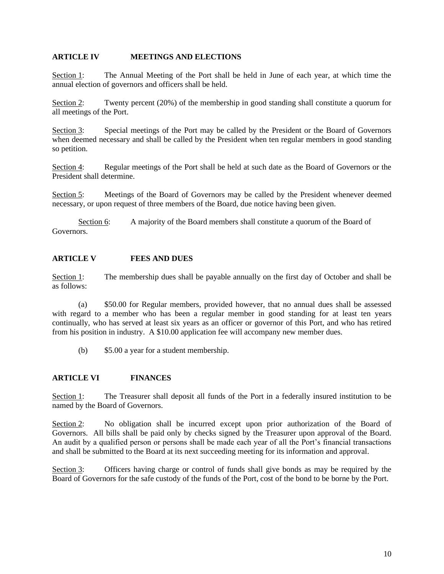## **ARTICLE IV MEETINGS AND ELECTIONS**

Section 1: The Annual Meeting of the Port shall be held in June of each year, at which time the annual election of governors and officers shall be held.

Section 2: Twenty percent (20%) of the membership in good standing shall constitute a quorum for all meetings of the Port.

Section 3: Special meetings of the Port may be called by the President or the Board of Governors when deemed necessary and shall be called by the President when ten regular members in good standing so petition.

Section 4: Regular meetings of the Port shall be held at such date as the Board of Governors or the President shall determine.

Section 5: Meetings of the Board of Governors may be called by the President whenever deemed necessary, or upon request of three members of the Board, due notice having been given.

Section 6: A majority of the Board members shall constitute a quorum of the Board of Governors.

## **ARTICLE V FEES AND DUES**

Section 1: The membership dues shall be payable annually on the first day of October and shall be as follows:

(a) \$50.00 for Regular members, provided however, that no annual dues shall be assessed with regard to a member who has been a regular member in good standing for at least ten years continually, who has served at least six years as an officer or governor of this Port, and who has retired from his position in industry. A \$10.00 application fee will accompany new member dues.

(b) \$5.00 a year for a student membership.

#### **ARTICLE VI FINANCES**

Section 1: The Treasurer shall deposit all funds of the Port in a federally insured institution to be named by the Board of Governors.

Section 2: No obligation shall be incurred except upon prior authorization of the Board of Governors. All bills shall be paid only by checks signed by the Treasurer upon approval of the Board. An audit by a qualified person or persons shall be made each year of all the Port's financial transactions and shall be submitted to the Board at its next succeeding meeting for its information and approval.

Section 3: Officers having charge or control of funds shall give bonds as may be required by the Board of Governors for the safe custody of the funds of the Port, cost of the bond to be borne by the Port.